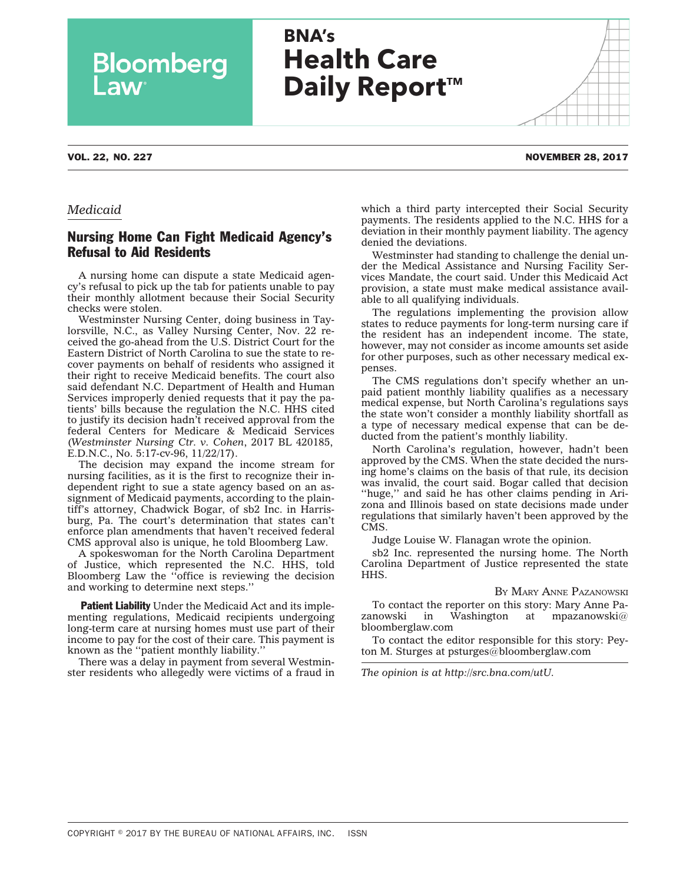# **BNA's Health Care Daily Report™**

Bloomberg

### *Medicaid*

## Nursing Home Can Fight Medicaid Agency's Refusal to Aid Residents

A nursing home can dispute a state Medicaid agency's refusal to pick up the tab for patients unable to pay their monthly allotment because their Social Security checks were stolen.

Westminster Nursing Center, doing business in Taylorsville, N.C., as Valley Nursing Center, Nov. 22 [re](http://src.bna.com/utU)[ceived](http://src.bna.com/utU) the go-ahead from the U.S. District Court for the Eastern District of North Carolina to sue the state to recover payments on behalf of residents who assigned it their right to receive Medicaid benefits. The court also said defendant N.C. Department of Health and Human Services improperly denied requests that it pay the patients' bills because the regulation the N.C. HHS cited to justify its decision hadn't received approval from the federal Centers for Medicare & Medicaid Services (*Westminster Nursing Ctr. v. Cohen*, 2017 BL 420185, E.D.N.C., No. 5:17-cv-96, 11/22/17).

The decision may expand the income stream for nursing facilities, as it is the first to recognize their independent right to sue a state agency based on an assignment of Medicaid payments, according to the plaintiff's attorney, Chadwick Bogar, of sb2 Inc. in Harrisburg, Pa. The court's determination that states can't enforce plan amendments that haven't received federal CMS approval also is unique, he told Bloomberg Law.

A spokeswoman for the North Carolina Department of Justice, which represented the N.C. HHS, told Bloomberg Law the ''office is reviewing the decision and working to determine next steps.''

Patient Liability Under the Medicaid Act and its implementing regulations, Medicaid recipients undergoing long-term care at nursing homes must use part of their income to pay for the cost of their care. This payment is known as the ''patient monthly liability.''

There was a delay in payment from several Westminster residents who allegedly were victims of a fraud in which a third party intercepted their Social Security payments. The residents applied to the N.C. HHS for a deviation in their monthly payment liability. The agency denied the deviations.

Westminster had standing to challenge the denial under the Medical Assistance and Nursing Facility Services Mandate, the court said. Under this Medicaid Act provision, a state must make medical assistance available to all qualifying individuals.

The regulations implementing the provision allow states to reduce payments for long-term nursing care if the resident has an independent income. The state, however, may not consider as income amounts set aside for other purposes, such as other necessary medical expenses.

The CMS regulations don't specify whether an unpaid patient monthly liability qualifies as a necessary medical expense, but North Carolina's regulations says the state won't consider a monthly liability shortfall as a type of necessary medical expense that can be deducted from the patient's monthly liability.

North Carolina's regulation, however, hadn't been approved by the CMS. When the state decided the nursing home's claims on the basis of that rule, its decision was invalid, the court said. Bogar called that decision ''huge,'' and said he has other claims pending in Arizona and Illinois based on state decisions made under regulations that similarly haven't been approved by the CMS.

Judge Louise W. Flanagan wrote the opinion.

sb2 Inc. represented the nursing home. The North Carolina Department of Justice represented the state HHS.

#### BY MARY ANNE [PAZANOWSKI](mailto:mpazanowski@bloomberglaw.com)

To contact the reporter on this story: Mary Anne Pazanowski in Washington at [mpazanowski@](mailto:mpazanowski@bloomberglaw.com) [bloomberglaw.com](mailto:mpazanowski@bloomberglaw.com)

To contact the editor responsible for this story: Peyton M. Sturges at [psturges@bloomberglaw.com](mailto:psturges@bloomberglaw.com)

*The opinion is at [http://src.bna.com/utU.](http://src.bna.com/utU)*